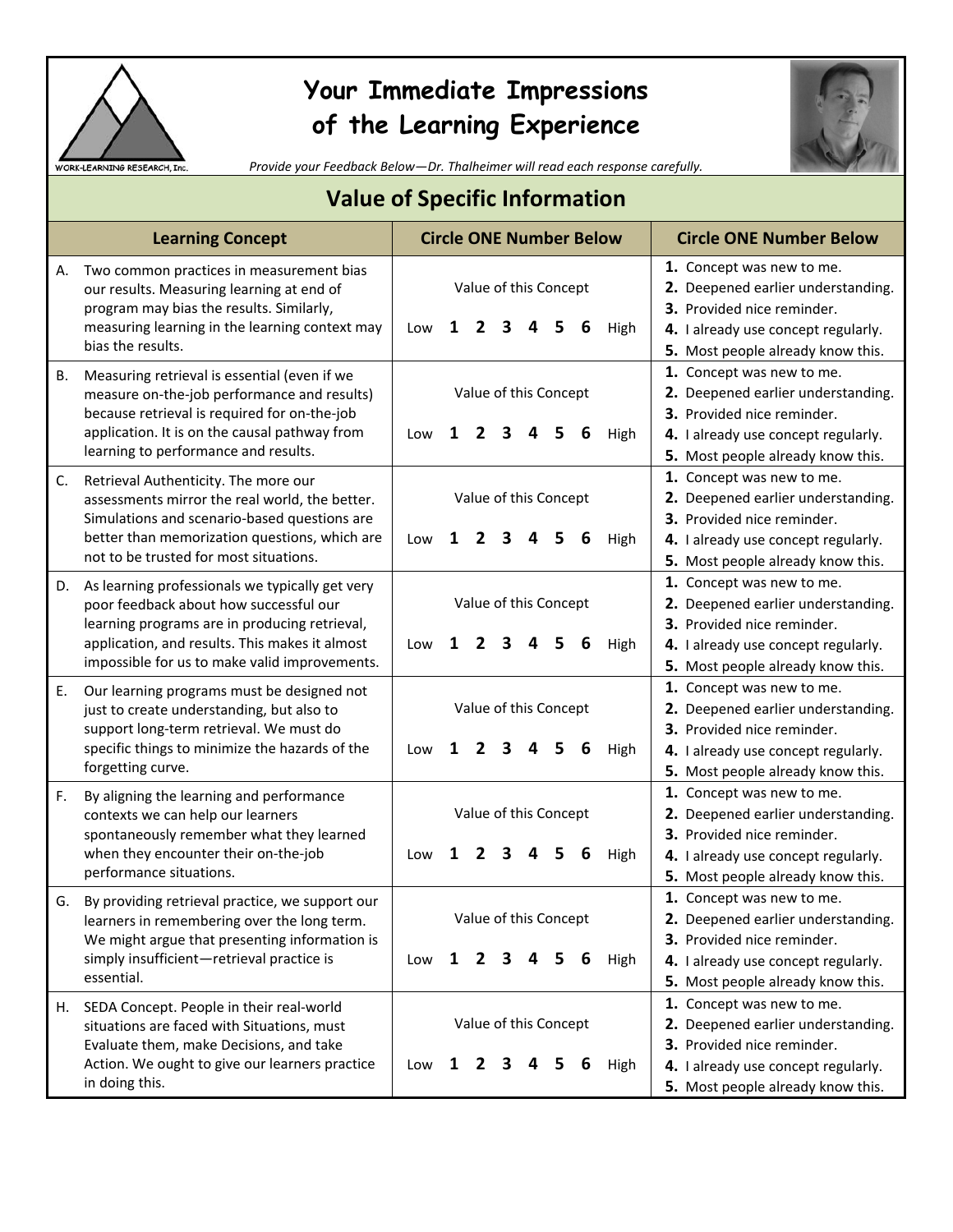

## **Your Immediate Impressions of the Learning Experience**



*Provide your Feedback Below—Dr. Thalheimer will read each response carefully.*

| <b>Value of Specific Information</b> |                                                                                                                                                                                                                                               |                                                                |   |   |                            |   |   |   |                                                                                                                                                                           |                                                                                                                                                                           |
|--------------------------------------|-----------------------------------------------------------------------------------------------------------------------------------------------------------------------------------------------------------------------------------------------|----------------------------------------------------------------|---|---|----------------------------|---|---|---|---------------------------------------------------------------------------------------------------------------------------------------------------------------------------|---------------------------------------------------------------------------------------------------------------------------------------------------------------------------|
|                                      | <b>Learning Concept</b>                                                                                                                                                                                                                       | <b>Circle ONE Number Below</b>                                 |   |   |                            |   |   |   | <b>Circle ONE Number Below</b>                                                                                                                                            |                                                                                                                                                                           |
| А.                                   | Two common practices in measurement bias<br>our results. Measuring learning at end of<br>program may bias the results. Similarly,<br>measuring learning in the learning context may<br>bias the results.                                      | Low                                                            | 1 |   | Value of this Concept<br>З |   |   | 6 | High                                                                                                                                                                      | 1. Concept was new to me.<br>2. Deepened earlier understanding.<br>3. Provided nice reminder.<br>4. I already use concept regularly.<br>5. Most people already know this. |
| В.                                   | Measuring retrieval is essential (even if we<br>measure on-the-job performance and results)<br>because retrieval is required for on-the-job<br>application. It is on the causal pathway from<br>learning to performance and results.          | Low                                                            | 1 | 2 | Value of this Concept<br>3 | 4 | 5 | 6 | High                                                                                                                                                                      | 1. Concept was new to me.<br>2. Deepened earlier understanding.<br>3. Provided nice reminder.<br>4. I already use concept regularly.<br>5. Most people already know this. |
| C.                                   | Retrieval Authenticity. The more our<br>assessments mirror the real world, the better.<br>Simulations and scenario-based questions are<br>better than memorization questions, which are<br>not to be trusted for most situations.             | Low                                                            | 1 |   | Value of this Concept<br>3 |   |   | 6 | High                                                                                                                                                                      | 1. Concept was new to me.<br>2. Deepened earlier understanding.<br>3. Provided nice reminder.<br>4. I already use concept regularly.<br>5. Most people already know this. |
| D.                                   | As learning professionals we typically get very<br>poor feedback about how successful our<br>learning programs are in producing retrieval,<br>application, and results. This makes it almost<br>impossible for us to make valid improvements. | Low                                                            | 1 |   | Value of this Concept<br>З |   |   | 6 | High                                                                                                                                                                      | 1. Concept was new to me.<br>2. Deepened earlier understanding.<br>3. Provided nice reminder.<br>4. I already use concept regularly.<br>5. Most people already know this. |
| Ε.                                   | Our learning programs must be designed not<br>just to create understanding, but also to<br>support long-term retrieval. We must do<br>specific things to minimize the hazards of the<br>forgetting curve.                                     | Low                                                            | 1 |   | Value of this Concept<br>3 |   |   | 6 | High                                                                                                                                                                      | 1. Concept was new to me.<br>2. Deepened earlier understanding.<br>3. Provided nice reminder.<br>4. I already use concept regularly.<br>5. Most people already know this. |
| F.                                   | By aligning the learning and performance<br>contexts we can help our learners<br>spontaneously remember what they learned<br>when they encounter their on-the-job<br>performance situations.                                                  | Low                                                            | 1 |   | Value of this Concept      |   |   |   | High                                                                                                                                                                      | 1. Concept was new to me.<br>2. Deepened earlier understanding.<br>3. Provided nice reminder.<br>4. I already use concept regularly.<br>5. Most people already know this. |
| G.                                   | By providing retrieval practice, we support our<br>learners in remembering over the long term.<br>We might argue that presenting information is<br>simply insufficient-retrieval practice is<br>essential.                                    | Value of this Concept<br>1<br>6<br>High<br>Low<br>2<br>З<br>5. |   |   |                            |   |   |   | 1. Concept was new to me.<br>2. Deepened earlier understanding.<br>3. Provided nice reminder.<br>4. I already use concept regularly.<br>5. Most people already know this. |                                                                                                                                                                           |
| н.                                   | SEDA Concept. People in their real-world<br>situations are faced with Situations, must<br>Evaluate them, make Decisions, and take<br>Action. We ought to give our learners practice<br>in doing this.                                         | Low                                                            | 1 | 2 | Value of this Concept<br>3 | 4 | 5 | 6 | High                                                                                                                                                                      | 1. Concept was new to me.<br>2. Deepened earlier understanding.<br>3. Provided nice reminder.<br>4. I already use concept regularly.<br>5. Most people already know this. |